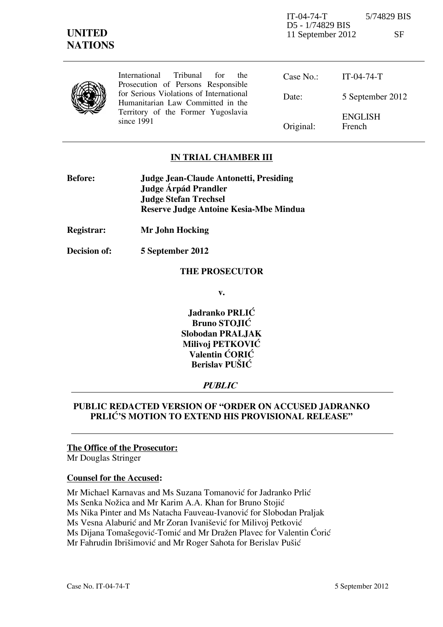IT-04-74-T 5/74829 BIS D5 - 1/74829 BIS 11 September 2012 SF

| ×<br>2<br>۰, |  |
|--------------|--|
| ٩<br>1. 1    |  |

|  | International Tribunal for the<br>Prosecution of Persons Responsible                                                             | Case $No.$ : | IT-04-74-T                      |
|--|----------------------------------------------------------------------------------------------------------------------------------|--------------|---------------------------------|
|  | for Serious Violations of International<br>Humanitarian Law Committed in the<br>Territory of the Former Yugoslavia<br>since 1991 | Date:        | 5 September 2012                |
|  |                                                                                                                                  | Original:    | <b>ENGLISH</b><br><b>French</b> |

## **IN TRIAL CHAMBER III**

| <b>Before:</b> | <b>Judge Jean-Claude Antonetti, Presiding</b> |
|----------------|-----------------------------------------------|
|                | Judge Árpád Prandler                          |
|                | <b>Judge Stefan Trechsel</b>                  |
|                | Reserve Judge Antoine Kesia-Mbe Mindua        |

**Registrar: Mr John Hocking** 

**Decision of: 5 September 2012** 

#### **THE PROSECUTOR**

**v.** 

**Jadranko PRLIĆ Bruno STOJIĆ Slobodan PRALJAK Milivoj PETKOVIĆ Valentin CORIC Berislav PUŠIĆ** 

### **PUBLIC**

## **PUBLIC REDACTED VERSION OF "ORDER ON ACCUSED JADRANKO**  PRLIĆ'S MOTION TO EXTEND HIS PROVISIONAL RELEASE"

#### **The Office of the Prosecutor:**

Mr Douglas Stringer

#### **Counsel for the Accused:**

Mr Michael Karnavas and Ms Suzana Tomanović for Jadranko Prlić Ms Senka Nožica and Mr Karim A.A. Khan for Bruno Stojić Ms Nika Pinter and Ms Natacha Fauveau-Ivanović for Slobodan Praljak Ms Vesna Alaburić and Mr Zoran Ivanišević for Milivoj Petković Ms Dijana Tomašegović-Tomić and Mr Dražen Plavec for Valentin Ćorić Mr Fahrudin Ibrišimović and Mr Roger Sahota for Berislav Pušić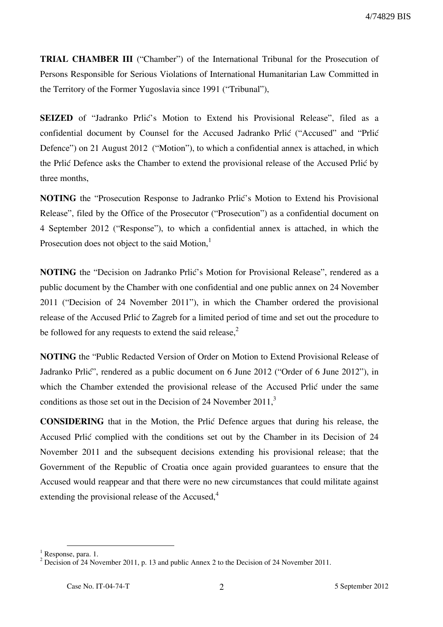**TRIAL CHAMBER III** ("Chamber") of the International Tribunal for the Prosecution of Persons Responsible for Serious Violations of International Humanitarian Law Committed in the Territory of the Former Yugoslavia since 1991 ("Tribunal"),

**SEIZED** of "Jadranko Prlić's Motion to Extend his Provisional Release", filed as a confidential document by Counsel for the Accused Jadranko Prlić ("Accused" and "Prlić Defence") on 21 August 2012 ("Motion"), to which a confidential annex is attached, in which the Prlić Defence asks the Chamber to extend the provisional release of the Accused Prlić by three months,

**NOTING** the "Prosecution Response to Jadranko Prlić's Motion to Extend his Provisional Release", filed by the Office of the Prosecutor ("Prosecution") as a confidential document on 4 September 2012 ("Response"), to which a confidential annex is attached, in which the Prosecution does not object to the said Motion,<sup>1</sup>

**NOTING** the "Decision on Jadranko Prlić's Motion for Provisional Release", rendered as a public document by the Chamber with one confidential and one public annex on 24 November 2011 ("Decision of 24 November 2011"), in which the Chamber ordered the provisional release of the Accused Prlić to Zagreb for a limited period of time and set out the procedure to be followed for any requests to extend the said release,<sup>2</sup>

**NOTING** the "Public Redacted Version of Order on Motion to Extend Provisional Release of Jadranko Prlić", rendered as a public document on 6 June 2012 ("Order of 6 June 2012"), in which the Chamber extended the provisional release of the Accused Prlić under the same conditions as those set out in the Decision of 24 November  $2011<sup>3</sup>$ 

**CONSIDERING** that in the Motion, the Prlić Defence argues that during his release, the Accused Prlić complied with the conditions set out by the Chamber in its Decision of 24 November 2011 and the subsequent decisions extending his provisional release; that the Government of the Republic of Croatia once again provided guarantees to ensure that the Accused would reappear and that there were no new circumstances that could militate against extending the provisional release of the Accused,<sup>4</sup>

 $\overline{a}$ <sup>1</sup> Response, para. 1.

<sup>&</sup>lt;sup>2</sup> Decision of 24 November 2011, p. 13 and public Annex 2 to the Decision of 24 November 2011.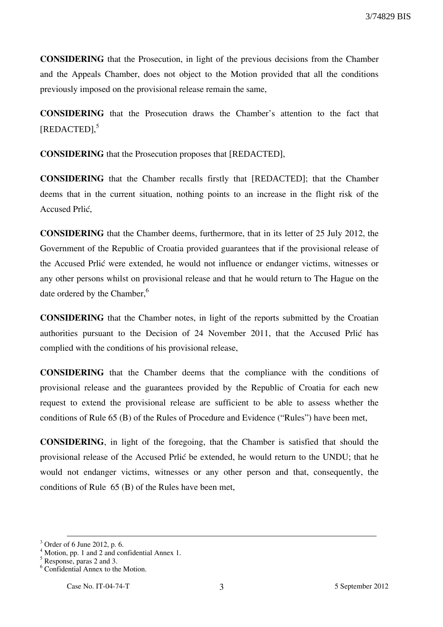**CONSIDERING** that the Prosecution, in light of the previous decisions from the Chamber and the Appeals Chamber, does not object to the Motion provided that all the conditions previously imposed on the provisional release remain the same,

**CONSIDERING** that the Prosecution draws the Chamber's attention to the fact that [REDACTED], 5

**CONSIDERING** that the Prosecution proposes that [REDACTED],

**CONSIDERING** that the Chamber recalls firstly that [REDACTED]; that the Chamber deems that in the current situation, nothing points to an increase in the flight risk of the Accused Prlić

**CONSIDERING** that the Chamber deems, furthermore, that in its letter of 25 July 2012, the Government of the Republic of Croatia provided guarantees that if the provisional release of the Accused Prlić were extended, he would not influence or endanger victims, witnesses or any other persons whilst on provisional release and that he would return to The Hague on the date ordered by the Chamber,<sup>6</sup>

**CONSIDERING** that the Chamber notes, in light of the reports submitted by the Croatian authorities pursuant to the Decision of 24 November 2011, that the Accused Prlić has complied with the conditions of his provisional release,

**CONSIDERING** that the Chamber deems that the compliance with the conditions of provisional release and the guarantees provided by the Republic of Croatia for each new request to extend the provisional release are sufficient to be able to assess whether the conditions of Rule 65 (B) of the Rules of Procedure and Evidence ("Rules") have been met,

**CONSIDERING**, in light of the foregoing, that the Chamber is satisfied that should the provisional release of the Accused Prlić be extended, he would return to the UNDU; that he would not endanger victims, witnesses or any other person and that, consequently, the conditions of Rule 65 (B) of the Rules have been met,

<u>.</u>

<sup>3</sup> Order of 6 June 2012, p. 6.

<sup>4</sup> Motion, pp. 1 and 2 and confidential Annex 1.

<sup>5</sup> Response, paras 2 and 3.

<sup>6</sup> Confidential Annex to the Motion.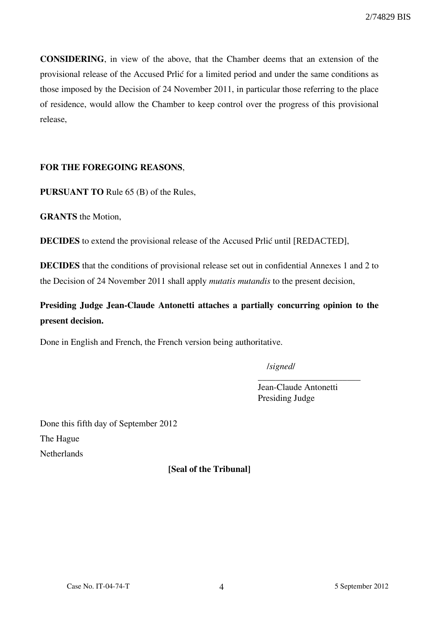**CONSIDERING**, in view of the above, that the Chamber deems that an extension of the provisional release of the Accused Prlić for a limited period and under the same conditions as those imposed by the Decision of 24 November 2011, in particular those referring to the place of residence, would allow the Chamber to keep control over the progress of this provisional release,

## **FOR THE FOREGOING REASONS**,

**PURSUANT TO** Rule 65 (B) of the Rules,

**GRANTS** the Motion,

**DECIDES** to extend the provisional release of the Accused Prlić until [REDACTED],

**DECIDES** that the conditions of provisional release set out in confidential Annexes 1 and 2 to the Decision of 24 November 2011 shall apply *mutatis mutandis* to the present decision,

**Presiding Judge Jean-Claude Antonetti attaches a partially concurring opinion to the present decision.** 

Done in English and French, the French version being authoritative.

/*signed*/

Jean-Claude Antonetti Presiding Judge

\_\_\_\_\_\_\_\_\_\_\_\_\_\_\_\_\_\_\_\_\_\_\_

Done this fifth day of September 2012 The Hague **Netherlands** 

**[Seal of the Tribunal]**